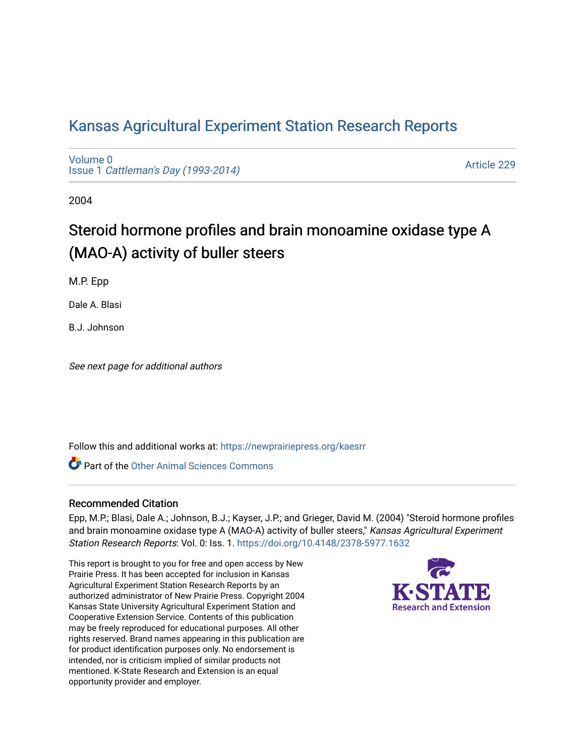## [Kansas Agricultural Experiment Station Research Reports](https://newprairiepress.org/kaesrr)

[Volume 0](https://newprairiepress.org/kaesrr/vol0) Issue 1 [Cattleman's Day \(1993-2014\)](https://newprairiepress.org/kaesrr/vol0/iss1) 

[Article 229](https://newprairiepress.org/kaesrr/vol0/iss1/229) 

2004

# Steroid hormone profiles and brain monoamine oxidase type A (MAO-A) activity of buller steers

M.P. Epp

Dale A. Blasi

B.J. Johnson

See next page for additional authors

Follow this and additional works at: [https://newprairiepress.org/kaesrr](https://newprairiepress.org/kaesrr?utm_source=newprairiepress.org%2Fkaesrr%2Fvol0%2Fiss1%2F229&utm_medium=PDF&utm_campaign=PDFCoverPages) 

**C** Part of the [Other Animal Sciences Commons](http://network.bepress.com/hgg/discipline/82?utm_source=newprairiepress.org%2Fkaesrr%2Fvol0%2Fiss1%2F229&utm_medium=PDF&utm_campaign=PDFCoverPages)

#### Recommended Citation

Epp, M.P.; Blasi, Dale A.; Johnson, B.J.; Kayser, J.P.; and Grieger, David M. (2004) "Steroid hormone profiles and brain monoamine oxidase type A (MAO-A) activity of buller steers," Kansas Agricultural Experiment Station Research Reports: Vol. 0: Iss. 1.<https://doi.org/10.4148/2378-5977.1632>

This report is brought to you for free and open access by New Prairie Press. It has been accepted for inclusion in Kansas Agricultural Experiment Station Research Reports by an authorized administrator of New Prairie Press. Copyright 2004 Kansas State University Agricultural Experiment Station and Cooperative Extension Service. Contents of this publication may be freely reproduced for educational purposes. All other rights reserved. Brand names appearing in this publication are for product identification purposes only. No endorsement is intended, nor is criticism implied of similar products not mentioned. K-State Research and Extension is an equal opportunity provider and employer.

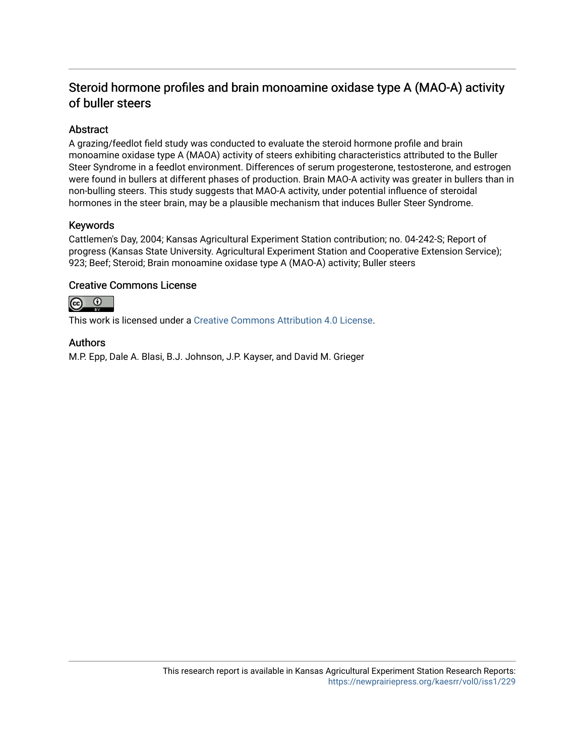### Steroid hormone profiles and brain monoamine oxidase type A (MAO-A) activity of buller steers

#### Abstract

A grazing/feedlot field study was conducted to evaluate the steroid hormone profile and brain monoamine oxidase type A (MAOA) activity of steers exhibiting characteristics attributed to the Buller Steer Syndrome in a feedlot environment. Differences of serum progesterone, testosterone, and estrogen were found in bullers at different phases of production. Brain MAO-A activity was greater in bullers than in non-bulling steers. This study suggests that MAO-A activity, under potential influence of steroidal hormones in the steer brain, may be a plausible mechanism that induces Buller Steer Syndrome.

#### Keywords

Cattlemen's Day, 2004; Kansas Agricultural Experiment Station contribution; no. 04-242-S; Report of progress (Kansas State University. Agricultural Experiment Station and Cooperative Extension Service); 923; Beef; Steroid; Brain monoamine oxidase type A (MAO-A) activity; Buller steers

#### Creative Commons License



This work is licensed under a [Creative Commons Attribution 4.0 License](https://creativecommons.org/licenses/by/4.0/).

#### Authors

M.P. Epp, Dale A. Blasi, B.J. Johnson, J.P. Kayser, and David M. Grieger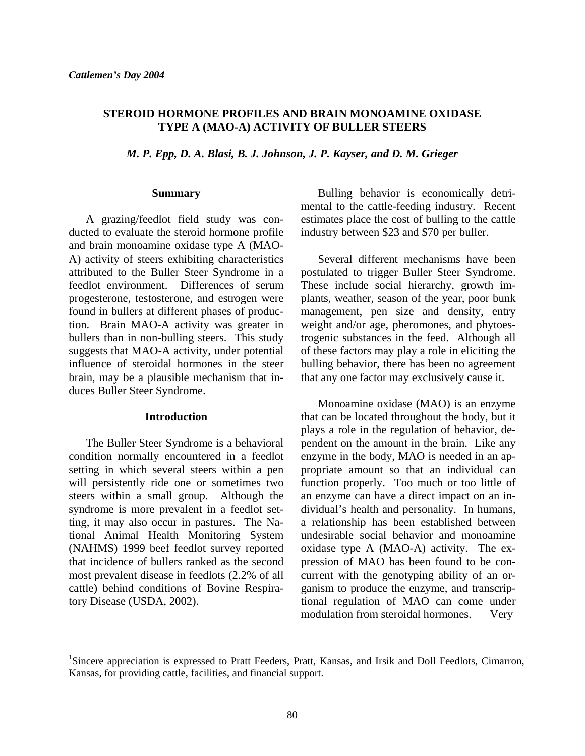#### **STEROID HORMONE PROFILES AND BRAIN MONOAMINE OXIDASE TYPE A (MAO-A) ACTIVITY OF BULLER STEERS**

*M. P. Epp, D. A. Blasi, B. J. Johnson, J. P. Kayser, and D. M. Grieger* 

#### **Summary**

 A grazing/feedlot field study was conducted to evaluate the steroid hormone profile and brain monoamine oxidase type A (MAO-A) activity of steers exhibiting characteristics attributed to the Buller Steer Syndrome in a feedlot environment. Differences of serum progesterone, testosterone, and estrogen were found in bullers at different phases of production. Brain MAO-A activity was greater in bullers than in non-bulling steers. This study suggests that MAO-A activity, under potential influence of steroidal hormones in the steer brain, may be a plausible mechanism that induces Buller Steer Syndrome.

#### **Introduction**

 The Buller Steer Syndrome is a behavioral condition normally encountered in a feedlot setting in which several steers within a pen will persistently ride one or sometimes two steers within a small group. Although the syndrome is more prevalent in a feedlot setting, it may also occur in pastures. The National Animal Health Monitoring System (NAHMS) 1999 beef feedlot survey reported that incidence of bullers ranked as the second most prevalent disease in feedlots (2.2% of all cattle) behind conditions of Bovine Respiratory Disease (USDA, 2002).

l

 Bulling behavior is economically detrimental to the cattle-feeding industry. Recent estimates place the cost of bulling to the cattle industry between \$23 and \$70 per buller.

 Several different mechanisms have been postulated to trigger Buller Steer Syndrome. These include social hierarchy, growth implants, weather, season of the year, poor bunk management, pen size and density, entry weight and/or age, pheromones, and phytoestrogenic substances in the feed. Although all of these factors may play a role in eliciting the bulling behavior, there has been no agreement that any one factor may exclusively cause it.

 Monoamine oxidase (MAO) is an enzyme that can be located throughout the body, but it plays a role in the regulation of behavior, dependent on the amount in the brain. Like any enzyme in the body, MAO is needed in an appropriate amount so that an individual can function properly. Too much or too little of an enzyme can have a direct impact on an individual's health and personality. In humans, a relationship has been established between undesirable social behavior and monoamine oxidase type A (MAO-A) activity. The expression of MAO has been found to be concurrent with the genotyping ability of an organism to produce the enzyme, and transcriptional regulation of MAO can come under modulation from steroidal hormones. Very

<sup>&</sup>lt;sup>1</sup>Sincere appreciation is expressed to Pratt Feeders, Pratt, Kansas, and Irsik and Doll Feedlots, Cimarron, Kansas, for providing cattle, facilities, and financial support.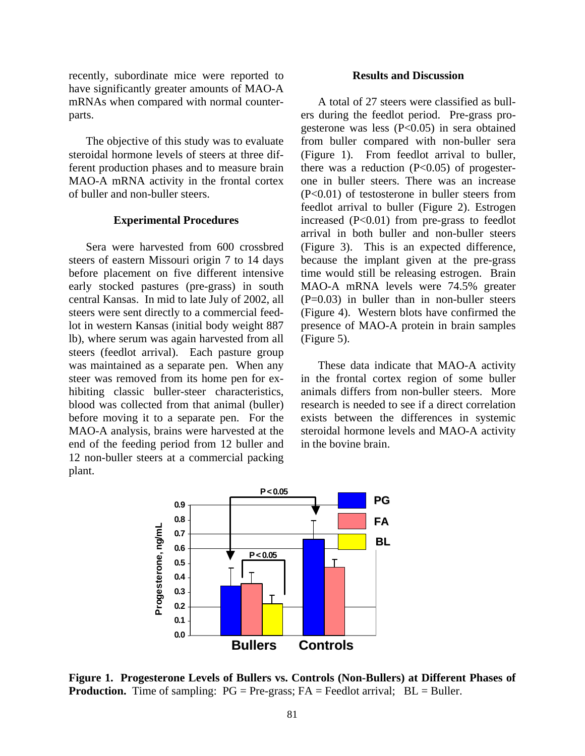recently, subordinate mice were reported to have significantly greater amounts of MAO-A mRNAs when compared with normal counterparts.

 The objective of this study was to evaluate steroidal hormone levels of steers at three different production phases and to measure brain MAO-A mRNA activity in the frontal cortex of buller and non-buller steers.

#### **Experimental Procedures**

 Sera were harvested from 600 crossbred steers of eastern Missouri origin 7 to 14 days before placement on five different intensive early stocked pastures (pre-grass) in south central Kansas. In mid to late July of 2002, all steers were sent directly to a commercial feedlot in western Kansas (initial body weight 887 lb), where serum was again harvested from all steers (feedlot arrival). Each pasture group was maintained as a separate pen. When any steer was removed from its home pen for exhibiting classic buller-steer characteristics, blood was collected from that animal (buller) before moving it to a separate pen. For the MAO-A analysis, brains were harvested at the end of the feeding period from 12 buller and 12 non-buller steers at a commercial packing plant.

#### **Results and Discussion**

 A total of 27 steers were classified as bullers during the feedlot period. Pre-grass progesterone was less (P<0.05) in sera obtained from buller compared with non-buller sera (Figure 1). From feedlot arrival to buller, there was a reduction  $(P<0.05)$  of progesterone in buller steers. There was an increase (P<0.01) of testosterone in buller steers from feedlot arrival to buller (Figure 2). Estrogen increased (P<0.01) from pre-grass to feedlot arrival in both buller and non-buller steers (Figure 3). This is an expected difference, because the implant given at the pre-grass time would still be releasing estrogen. Brain MAO-A mRNA levels were 74.5% greater  $(P=0.03)$  in buller than in non-buller steers (Figure 4). Western blots have confirmed the presence of MAO-A protein in brain samples (Figure 5).

 These data indicate that MAO-A activity in the frontal cortex region of some buller animals differs from non-buller steers. More research is needed to see if a direct correlation exists between the differences in systemic steroidal hormone levels and MAO-A activity in the bovine brain.



**Figure 1. Progesterone Levels of Bullers vs. Controls (Non-Bullers) at Different Phases of Production.** Time of sampling:  $PG = Pre-grass$ ;  $FA = Feedlot arrival$ ;  $BL = Buller$ .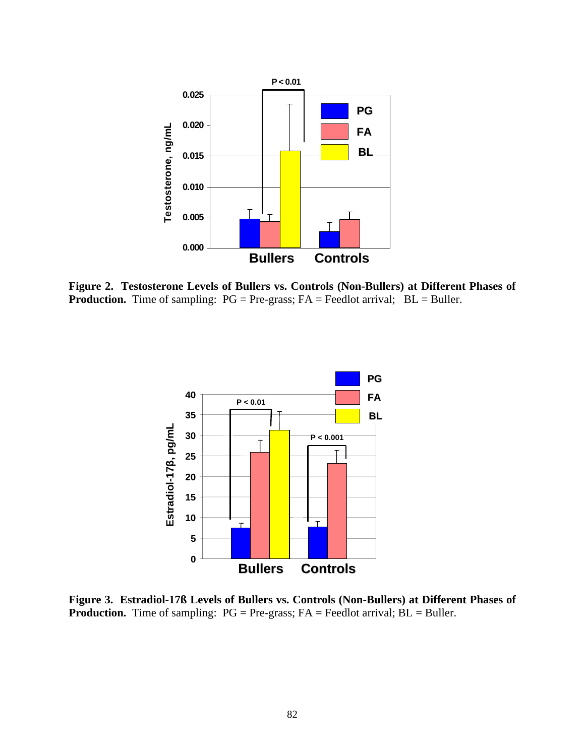

**Figure 2. Testosterone Levels of Bullers vs. Controls (Non-Bullers) at Different Phases of Production.** Time of sampling:  $PG = Pre-grass$ ;  $FA = Feedlot arrival$ ;  $BL = Buller$ .



**Figure 3. Estradiol-17ß Levels of Bullers vs. Controls (Non-Bullers) at Different Phases of Production.** Time of sampling: PG = Pre-grass; FA = Feedlot arrival; BL = Buller.